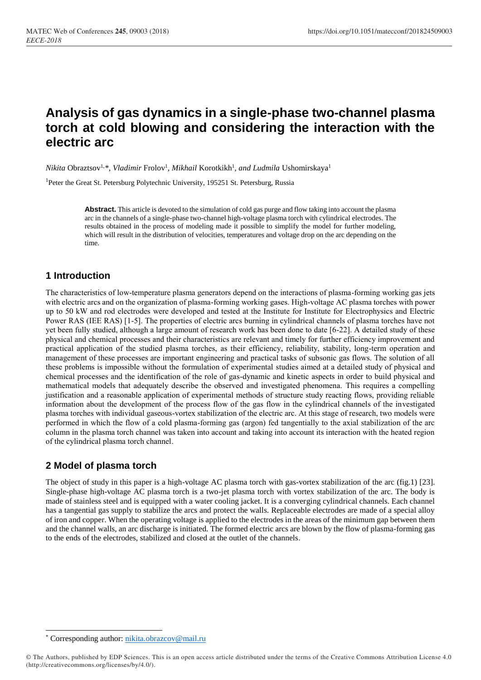# **Analysis of gas dynamics in a single-phase two-channel plasma torch at cold blowing and considering the interaction with the electric arc**

*Nikita* Obraztsov<sup>1, \*</sup>, *Vladimir Frolov<sup>1</sup>, Mikhail Korotkikh<sup>1</sup>, and Ludmila Ushomirskaya<sup>1</sup>* 

<sup>1</sup>Peter the Great St. Petersburg Polytechnic University, 195251 St. Petersburg, Russia

**Abstract.** This article is devoted to the simulation of cold gas purge and flow taking into account the plasma arc in the channels of a single-phase two-channel high-voltage plasma torch with cylindrical electrodes. The results obtained in the process of modeling made it possible to simplify the model for further modeling, which will result in the distribution of velocities, temperatures and voltage drop on the arc depending on the time.

#### **1 Introduction**

The characteristics of low-temperature plasma generators depend on the interactions of plasma-forming working gas jets with electric arcs and on the organization of plasma-forming working gases. High-voltage AC plasma torches with power up to 50 kW and rod electrodes were developed and tested at the Institute for Institute for Electrophysics and Electric Power RAS (IEE RAS) [1-5]. The properties of electric arcs burning in cylindrical channels of plasma torches have not yet been fully studied, although a large amount of research work has been done to date [6-22]. A detailed study of these physical and chemical processes and their characteristics are relevant and timely for further efficiency improvement and practical application of the studied plasma torches, as their efficiency, reliability, stability, long-term operation and management of these processes are important engineering and practical tasks of subsonic gas flows. The solution of all these problems is impossible without the formulation of experimental studies aimed at a detailed study of physical and chemical processes and the identification of the role of gas-dynamic and kinetic aspects in order to build physical and mathematical models that adequately describe the observed and investigated phenomena. This requires a compelling justification and a reasonable application of experimental methods of structure study reacting flows, providing reliable information about the development of the process flow of the gas flow in the cylindrical channels of the investigated plasma torches with individual gaseous-vortex stabilization of the electric arc. At this stage of research, two models were performed in which the flow of a cold plasma-forming gas (argon) fed tangentially to the axial stabilization of the arc column in the plasma torch channel was taken into account and taking into account its interaction with the heated region of the cylindrical plasma torch channel.

### **2 Model of plasma torch**

The object of study in this paper is a high-voltage AC plasma torch with gas-vortex stabilization of the arc (fig.1) [23]. Single-phase high-voltage AC plasma torch is a two-jet plasma torch with vortex stabilization of the arc. The body is made of stainless steel and is equipped with a water cooling jacket. It is a converging cylindrical channels. Each channel has a tangential gas supply to stabilize the arcs and protect the walls. Replaceable electrodes are made of a special alloy of iron and copper. When the operating voltage is applied to the electrodes in the areas of the minimum gap between them and the channel walls, an arc discharge is initiated. The formed electric arcs are blown by the flow of plasma-forming gas to the ends of the electrodes, stabilized and closed at the outlet of the channels.

 $\overline{a}$ 

<sup>\*</sup> Corresponding author: [nikita.obrazcov@mail.ru](mailto:nikita.obrazcov@mail.ru)

<sup>©</sup> The Authors, published by EDP Sciences. This is an open access article distributed under the terms of the Creative Commons Attribution License 4.0 (http://creativecommons.org/licenses/by/4.0/).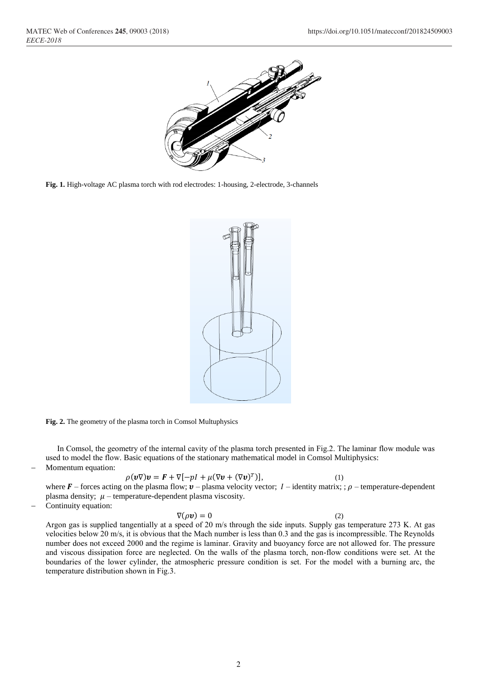

**Fig. 1.** High-voltage AC plasma torch with rod electrodes: 1-housing, 2-electrode, 3-channels





In Comsol, the geometry of the internal cavity of the plasma torch presented in Fig.2. The laminar flow module was used to model the flow. Basic equations of the stationary mathematical model in Comsol Multiphysics: Momentum equation:

$$
\rho(\boldsymbol{v}\nabla)\boldsymbol{v} = \boldsymbol{F} + \nabla[-\rho I + \mu(\nabla \boldsymbol{v} + (\nabla \boldsymbol{v})^T)],
$$
\n(1)

where  $\mathbf{F}$  – forces acting on the plasma flow;  $\mathbf{v}$  – plasma velocity vector; I – identity matrix; ;  $\rho$  – temperature-dependent plasma density;  $\mu$  – temperature-dependent plasma viscosity.

Continuity equation:

 $\nabla(\rho \mathbf{v}) = 0$  (2)

Argon gas is supplied tangentially at a speed of 20 m/s through the side inputs. Supply gas temperature 273 K. At gas velocities below 20 m/s, it is obvious that the Mach number is less than 0.3 and the gas is incompressible. The Reynolds number does not exceed 2000 and the regime is laminar. Gravity and buoyancy force are not allowed for. The pressure and viscous dissipation force are neglected. On the walls of the plasma torch, non-flow conditions were set. At the boundaries of the lower cylinder, the atmospheric pressure condition is set. For the model with a burning arc, the temperature distribution shown in Fig.3.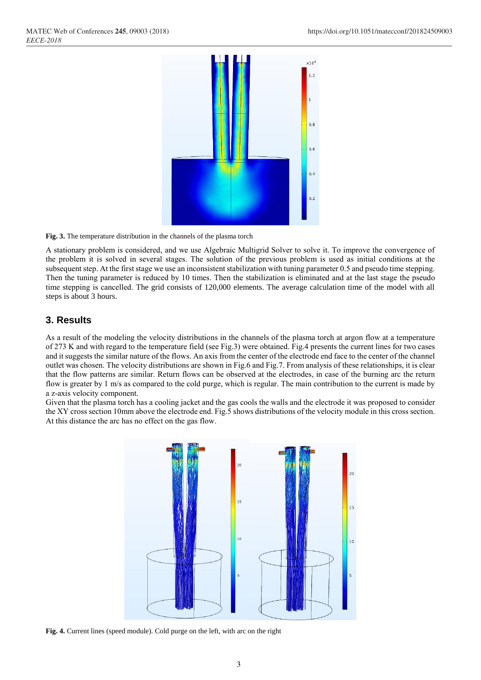

**Fig. 3.** The temperature distribution in the channels of the plasma torch

A stationary problem is considered, and we use Algebraic Multigrid Solver to solve it. To improve the convergence of the problem it is solved in several stages. The solution of the previous problem is used as initial conditions at the subsequent step. At the first stage we use an inconsistent stabilization with tuning parameter 0.5 and pseudo time stepping. Then the tuning parameter is reduced by 10 times. Then the stabilization is eliminated and at the last stage the pseudo time stepping is cancelled. The grid consists of 120,000 elements. The average calculation time of the model with all steps is about 3 hours.

### **3. Results**

As a result of the modeling the velocity distributions in the channels of the plasma torch at argon flow at a temperature of 273 K and with regard to the temperature field (see Fig.3) were obtained. Fig.4 presents the current lines for two cases and it suggests the similar nature of the flows. An axis from the center of the electrode end face to the center of the channel outlet was chosen. The velocity distributions are shown in Fig.6 and Fig.7. From analysis of these relationships, it is clear that the flow patterns are similar. Return flows can be observed at the electrodes, in case of the burning arc the return flow is greater by 1 m/s as compared to the cold purge, which is regular. The main contribution to the current is made by a z-axis velocity component.

Given that the plasma torch has a cooling jacket and the gas cools the walls and the electrode it was proposed to consider the XY cross section 10mm above the electrode end. Fig.5 shows distributions of the velocity module in this cross section. At this distance the arc has no effect on the gas flow.



**Fig. 4.** Current lines (speed module). Cold purge on the left, with arc on the right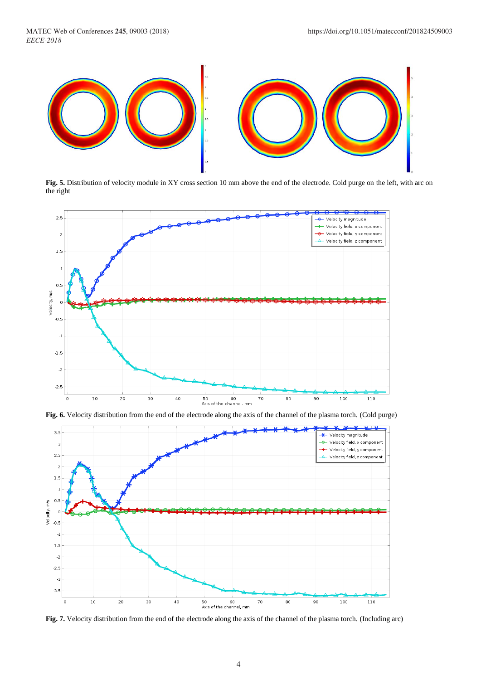

**Fig. 5.** Distribution of velocity module in XY cross section 10 mm above the end of the electrode. Cold purge on the left, with arc on the right







**Fig. 7.** Velocity distribution from the end of the electrode along the axis of the channel of the plasma torch. (Including arc)